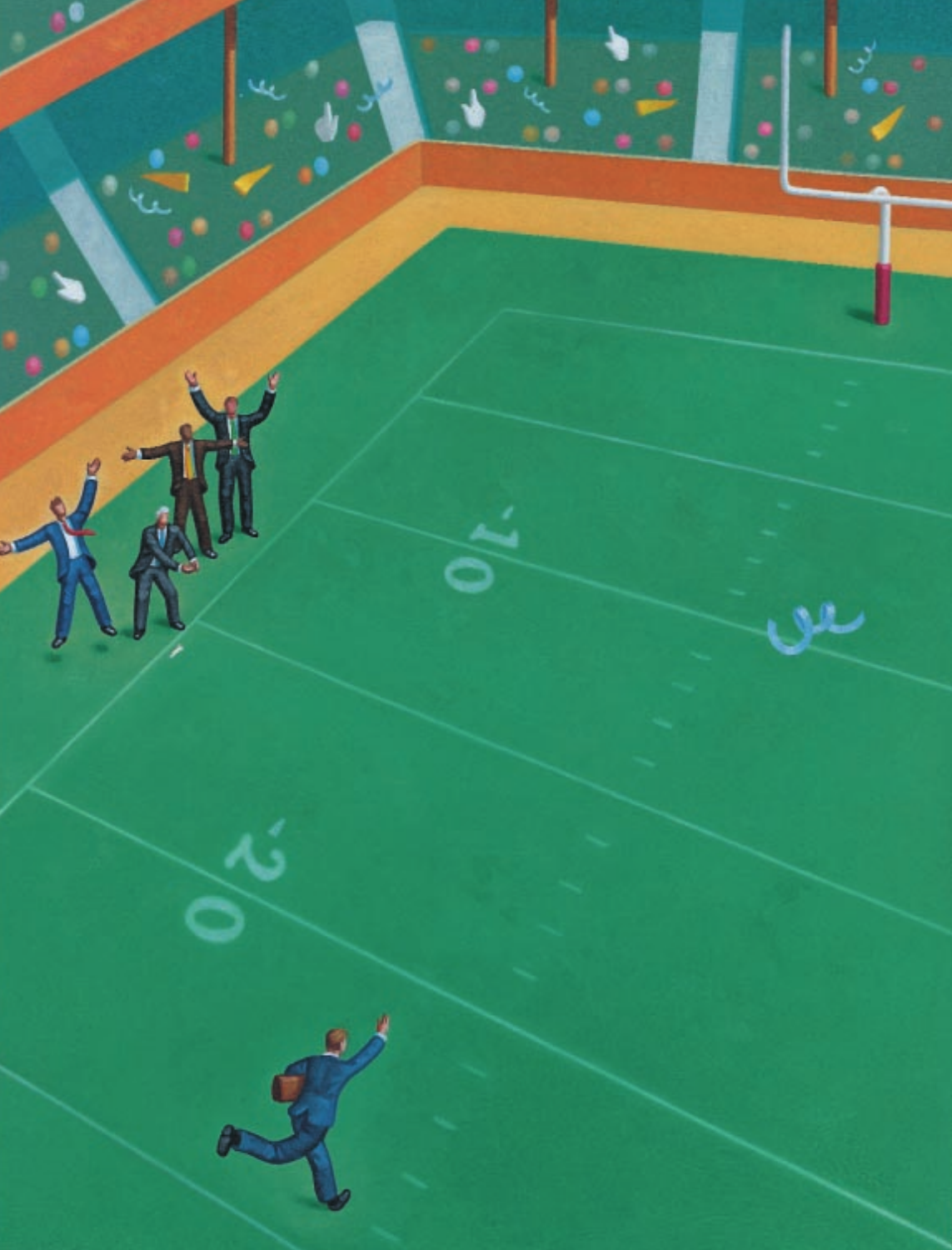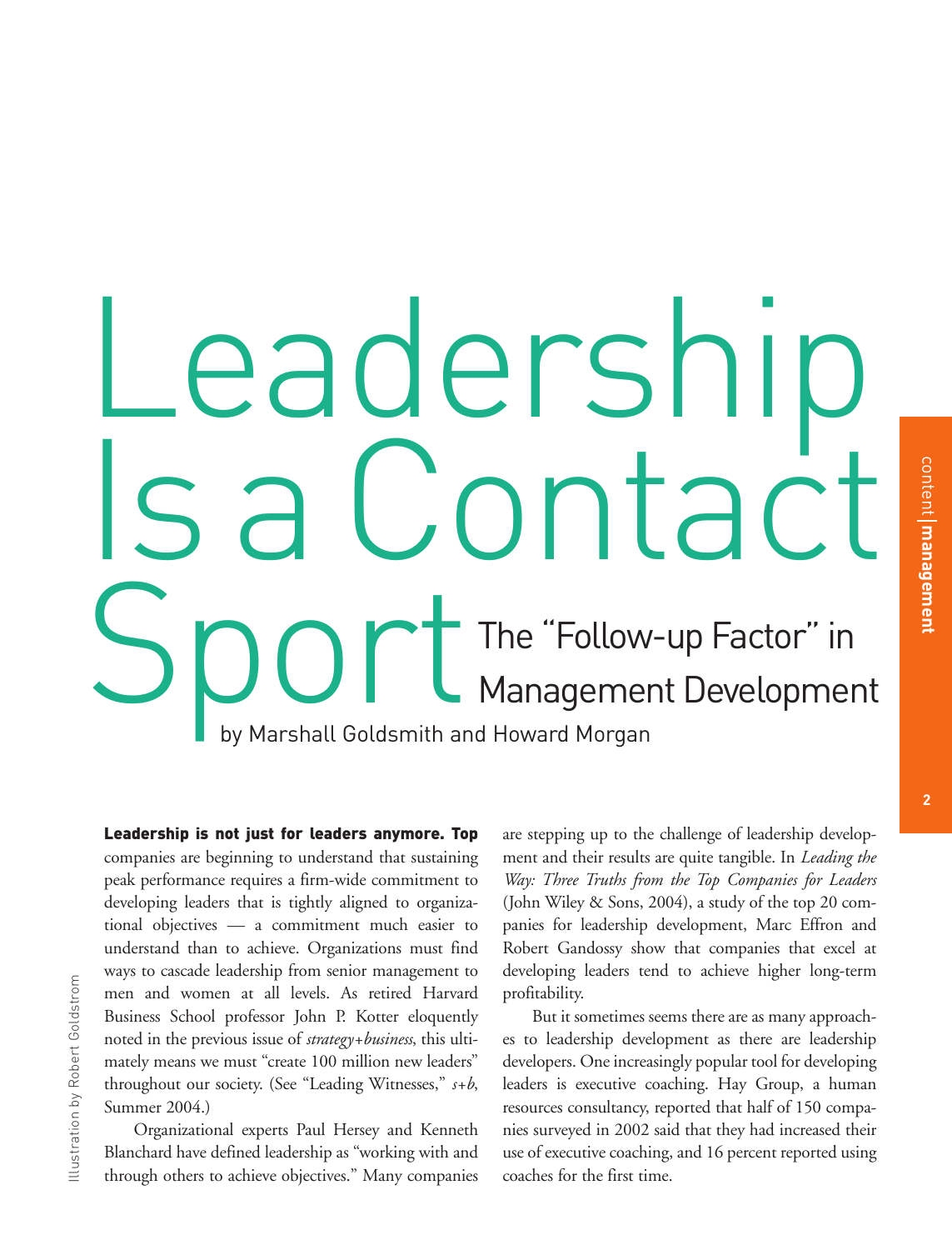# eadersh n Sport The "Follow-up Factor" in<br>Management Development<br>By Marshall Goldsmith and Howard Morgan Management Development by Marshall Goldsmith and Howard Morgan

Illustration by Robert Goldstrom Illustration by Robert Goldstrom Leadership is not just for leaders anymore. Top companies are beginning to understand that sustaining peak performance requires a firm-wide commitment to developing leaders that is tightly aligned to organizational objectives — a commitment much easier to understand than to achieve. Organizations must find ways to cascade leadership from senior management to men and women at all levels. As retired Harvard Business School professor John P. Kotter eloquently noted in the previous issue of *strategy+business*, this ultimately means we must "create 100 million new leaders" throughout our society. (See "Leading Witnesses," *s+b*, Summer 2004.)

Organizational experts Paul Hersey and Kenneth Blanchard have defined leadership as "working with and through others to achieve objectives." Many companies are stepping up to the challenge of leadership development and their results are quite tangible. In *Leading the Way: Three Truths from the Top Companies for Leaders* (John Wiley & Sons, 2004), a study of the top 20 companies for leadership development, Marc Effron and Robert Gandossy show that companies that excel at developing leaders tend to achieve higher long-term profitability.

But it sometimes seems there are as many approaches to leadership development as there are leadership developers. One increasingly popular tool for developing leaders is executive coaching. Hay Group, a human resources consultancy, reported that half of 150 companies surveyed in 2002 said that they had increased their use of executive coaching, and 16 percent reported using coaches for the first time.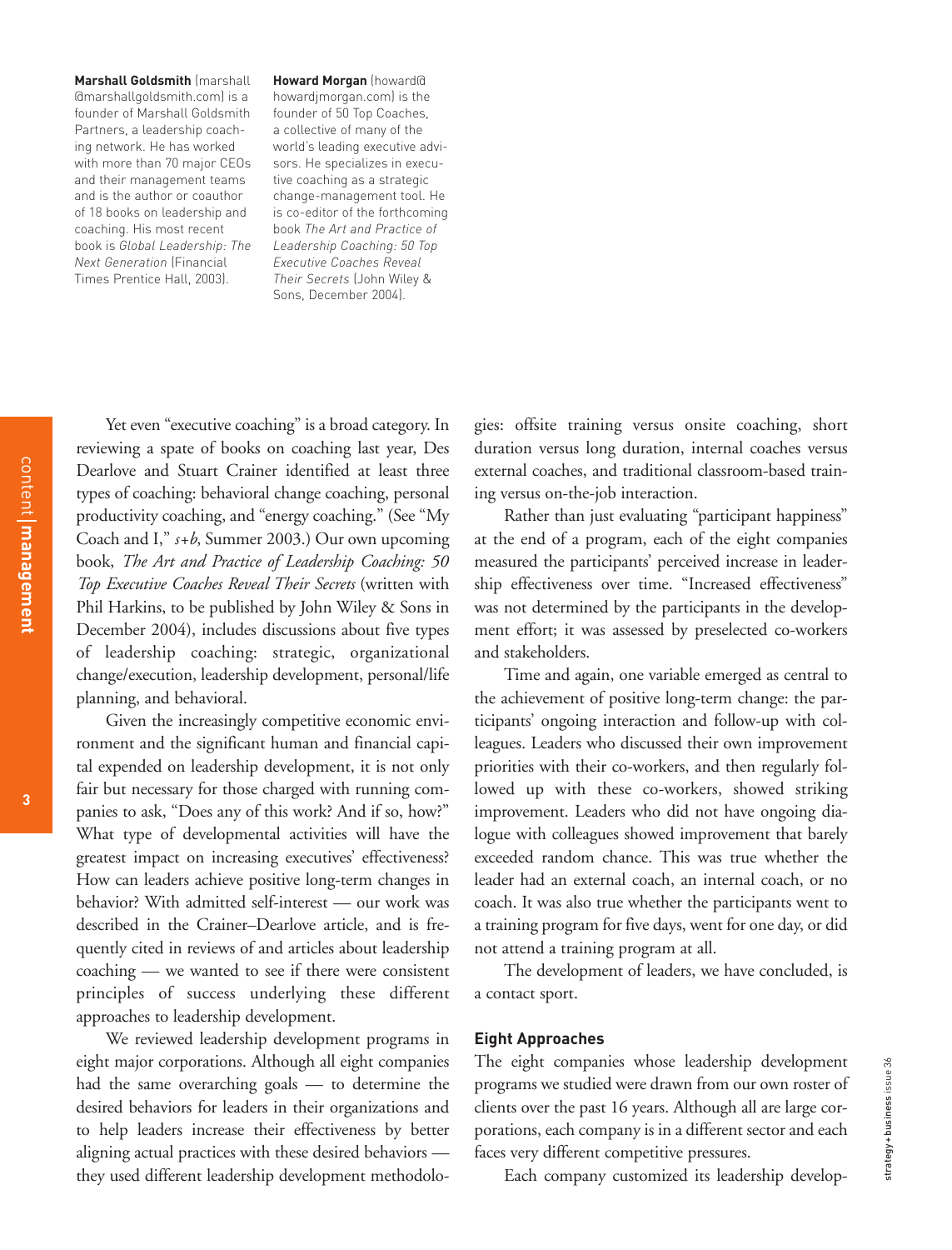**Marshall Goldsmith** (marshall @marshallgoldsmith.com) is a founder of Marshall Goldsmith Partners, a leadership coaching network. He has worked with more than 70 major CEOs and their management teams and is the author or coauthor of 18 books on leadership and coaching. His most recent book is *Global Leadership: The Next Generation* (Financial Times Prentice Hall, 2003).

**Howard Morgan** (howard@ howardjmorgan.com) is the founder of 50 Top Coaches, a collective of many of the world's leading executive advisors. He specializes in executive coaching as a strategic change-management tool. He is co-editor of the forthcoming book *The Art and Practice of Leadership Coaching: 50 Top Executive Coaches Reveal Their Secrets* (John Wiley & Sons, December 2004).

content | management **management**

Yet even "executive coaching" is a broad category. In reviewing a spate of books on coaching last year, Des Dearlove and Stuart Crainer identified at least three types of coaching: behavioral change coaching, personal productivity coaching, and "energy coaching." (See "My Coach and I," *s+b*, Summer 2003.) Our own upcoming book, *The Art and Practice of Leadership Coaching: 50 Top Executive Coaches Reveal Their Secrets* (written with Phil Harkins, to be published by John Wiley & Sons in December 2004), includes discussions about five types of leadership coaching: strategic, organizational change/execution, leadership development, personal/life planning, and behavioral.

Given the increasingly competitive economic environment and the significant human and financial capital expended on leadership development, it is not only fair but necessary for those charged with running companies to ask, "Does any of this work? And if so, how?" What type of developmental activities will have the greatest impact on increasing executives' effectiveness? How can leaders achieve positive long-term changes in behavior? With admitted self-interest — our work was described in the Crainer–Dearlove article, and is frequently cited in reviews of and articles about leadership coaching — we wanted to see if there were consistent principles of success underlying these different approaches to leadership development.

We reviewed leadership development programs in eight major corporations. Although all eight companies had the same overarching goals — to determine the desired behaviors for leaders in their organizations and to help leaders increase their effectiveness by better aligning actual practices with these desired behaviors they used different leadership development methodologies: offsite training versus onsite coaching, short duration versus long duration, internal coaches versus external coaches, and traditional classroom-based training versus on-the-job interaction.

Rather than just evaluating "participant happiness" at the end of a program, each of the eight companies measured the participants' perceived increase in leadership effectiveness over time. "Increased effectiveness" was not determined by the participants in the development effort; it was assessed by preselected co-workers and stakeholders.

Time and again, one variable emerged as central to the achievement of positive long-term change: the participants' ongoing interaction and follow-up with colleagues. Leaders who discussed their own improvement priorities with their co-workers, and then regularly followed up with these co-workers, showed striking improvement. Leaders who did not have ongoing dialogue with colleagues showed improvement that barely exceeded random chance. This was true whether the leader had an external coach, an internal coach, or no coach. It was also true whether the participants went to a training program for five days, went for one day, or did not attend a training program at all.

The development of leaders, we have concluded, is a contact sport.

## **Eight Approaches**

The eight companies whose leadership development programs we studied were drawn from our own roster of clients over the past 16 years. Although all are large corporations, each company is in a different sector and each faces very different competitive pressures.

Each company customized its leadership develop-

**3**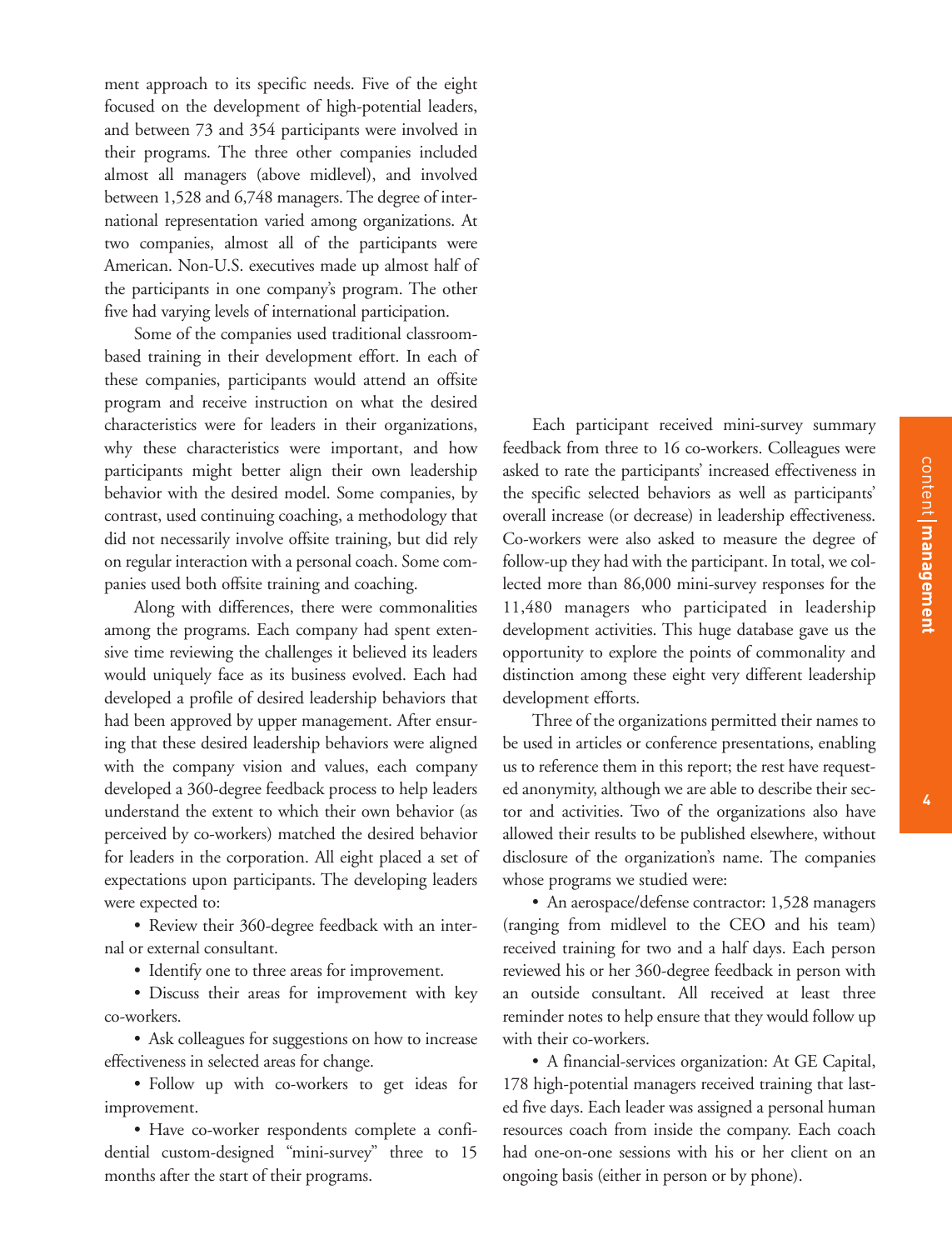ment approach to its specific needs. Five of the eight focused on the development of high-potential leaders, and between 73 and 354 participants were involved in their programs. The three other companies included almost all managers (above midlevel), and involved between 1,528 and 6,748 managers. The degree of international representation varied among organizations. At two companies, almost all of the participants were American. Non-U.S. executives made up almost half of the participants in one company's program. The other five had varying levels of international participation.

Some of the companies used traditional classroombased training in their development effort. In each of these companies, participants would attend an offsite program and receive instruction on what the desired characteristics were for leaders in their organizations, why these characteristics were important, and how participants might better align their own leadership behavior with the desired model. Some companies, by contrast, used continuing coaching, a methodology that did not necessarily involve offsite training, but did rely on regular interaction with a personal coach. Some companies used both offsite training and coaching.

Along with differences, there were commonalities among the programs. Each company had spent extensive time reviewing the challenges it believed its leaders would uniquely face as its business evolved. Each had developed a profile of desired leadership behaviors that had been approved by upper management. After ensuring that these desired leadership behaviors were aligned with the company vision and values, each company developed a 360-degree feedback process to help leaders understand the extent to which their own behavior (as perceived by co-workers) matched the desired behavior for leaders in the corporation. All eight placed a set of expectations upon participants. The developing leaders were expected to:

• Review their 360-degree feedback with an internal or external consultant.

• Identify one to three areas for improvement.

• Discuss their areas for improvement with key co-workers.

• Ask colleagues for suggestions on how to increase effectiveness in selected areas for change.

• Follow up with co-workers to get ideas for improvement.

• Have co-worker respondents complete a confidential custom-designed "mini-survey" three to 15 months after the start of their programs.

Each participant received mini-survey summary feedback from three to 16 co-workers. Colleagues were asked to rate the participants' increased effectiveness in the specific selected behaviors as well as participants' overall increase (or decrease) in leadership effectiveness. Co-workers were also asked to measure the degree of follow-up they had with the participant. In total, we collected more than 86,000 mini-survey responses for the 11,480 managers who participated in leadership development activities. This huge database gave us the opportunity to explore the points of commonality and distinction among these eight very different leadership development efforts.

Three of the organizations permitted their names to be used in articles or conference presentations, enabling us to reference them in this report; the rest have requested anonymity, although we are able to describe their sector and activities. Two of the organizations also have allowed their results to be published elsewhere, without disclosure of the organization's name. The companies whose programs we studied were:

• An aerospace/defense contractor: 1,528 managers (ranging from midlevel to the CEO and his team) received training for two and a half days. Each person reviewed his or her 360-degree feedback in person with an outside consultant. All received at least three reminder notes to help ensure that they would follow up with their co-workers.

• A financial-services organization: At GE Capital, 178 high-potential managers received training that lasted five days. Each leader was assigned a personal human resources coach from inside the company. Each coach had one-on-one sessions with his or her client on an ongoing basis (either in person or by phone).

**management**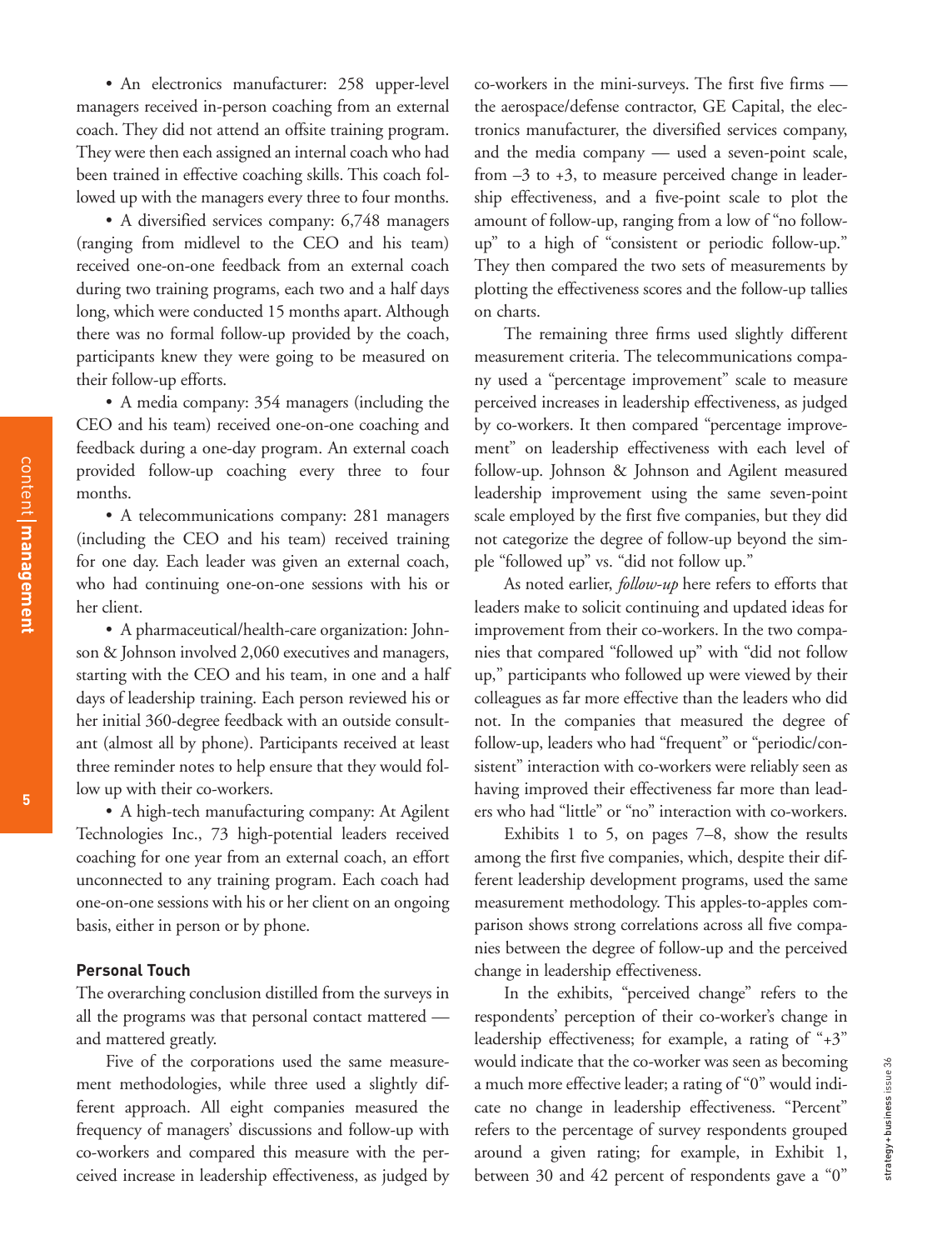• An electronics manufacturer: 258 upper-level managers received in-person coaching from an external coach. They did not attend an offsite training program. They were then each assigned an internal coach who had been trained in effective coaching skills. This coach followed up with the managers every three to four months.

• A diversified services company: 6,748 managers (ranging from midlevel to the CEO and his team) received one-on-one feedback from an external coach during two training programs, each two and a half days long, which were conducted 15 months apart. Although there was no formal follow-up provided by the coach, participants knew they were going to be measured on their follow-up efforts.

• A media company: 354 managers (including the CEO and his team) received one-on-one coaching and feedback during a one-day program. An external coach provided follow-up coaching every three to four months.

• A telecommunications company: 281 managers (including the CEO and his team) received training for one day. Each leader was given an external coach, who had continuing one-on-one sessions with his or her client.

• A pharmaceutical/health-care organization: Johnson & Johnson involved 2,060 executives and managers, starting with the CEO and his team, in one and a half days of leadership training. Each person reviewed his or her initial 360-degree feedback with an outside consultant (almost all by phone). Participants received at least three reminder notes to help ensure that they would follow up with their co-workers.

• A high-tech manufacturing company: At Agilent Technologies Inc., 73 high-potential leaders received coaching for one year from an external coach, an effort unconnected to any training program. Each coach had one-on-one sessions with his or her client on an ongoing basis, either in person or by phone.

## **Personal Touch**

The overarching conclusion distilled from the surveys in all the programs was that personal contact mattered and mattered greatly.

Five of the corporations used the same measurement methodologies, while three used a slightly different approach. All eight companies measured the frequency of managers' discussions and follow-up with co-workers and compared this measure with the perceived increase in leadership effectiveness, as judged by co-workers in the mini-surveys. The first five firms the aerospace/defense contractor, GE Capital, the electronics manufacturer, the diversified services company, and the media company — used a seven-point scale, from –3 to +3, to measure perceived change in leadership effectiveness, and a five-point scale to plot the amount of follow-up, ranging from a low of "no followup" to a high of "consistent or periodic follow-up." They then compared the two sets of measurements by plotting the effectiveness scores and the follow-up tallies on charts.

The remaining three firms used slightly different measurement criteria. The telecommunications company used a "percentage improvement" scale to measure perceived increases in leadership effectiveness, as judged by co-workers. It then compared "percentage improvement" on leadership effectiveness with each level of follow-up. Johnson & Johnson and Agilent measured leadership improvement using the same seven-point scale employed by the first five companies, but they did not categorize the degree of follow-up beyond the simple "followed up" vs. "did not follow up."

As noted earlier, *follow-up* here refers to efforts that leaders make to solicit continuing and updated ideas for improvement from their co-workers. In the two companies that compared "followed up" with "did not follow up," participants who followed up were viewed by their colleagues as far more effective than the leaders who did not. In the companies that measured the degree of follow-up, leaders who had "frequent" or "periodic/consistent" interaction with co-workers were reliably seen as having improved their effectiveness far more than leaders who had "little" or "no" interaction with co-workers.

Exhibits 1 to 5, on pages 7–8, show the results among the first five companies, which, despite their different leadership development programs, used the same measurement methodology. This apples-to-apples comparison shows strong correlations across all five companies between the degree of follow-up and the perceived change in leadership effectiveness.

In the exhibits, "perceived change" refers to the respondents' perception of their co-worker's change in leadership effectiveness; for example, a rating of "+3" would indicate that the co-worker was seen as becoming a much more effective leader; a rating of "0" would indicate no change in leadership effectiveness. "Percent" refers to the percentage of survey respondents grouped around a given rating; for example, in Exhibit 1, between 30 and 42 percent of respondents gave a "0"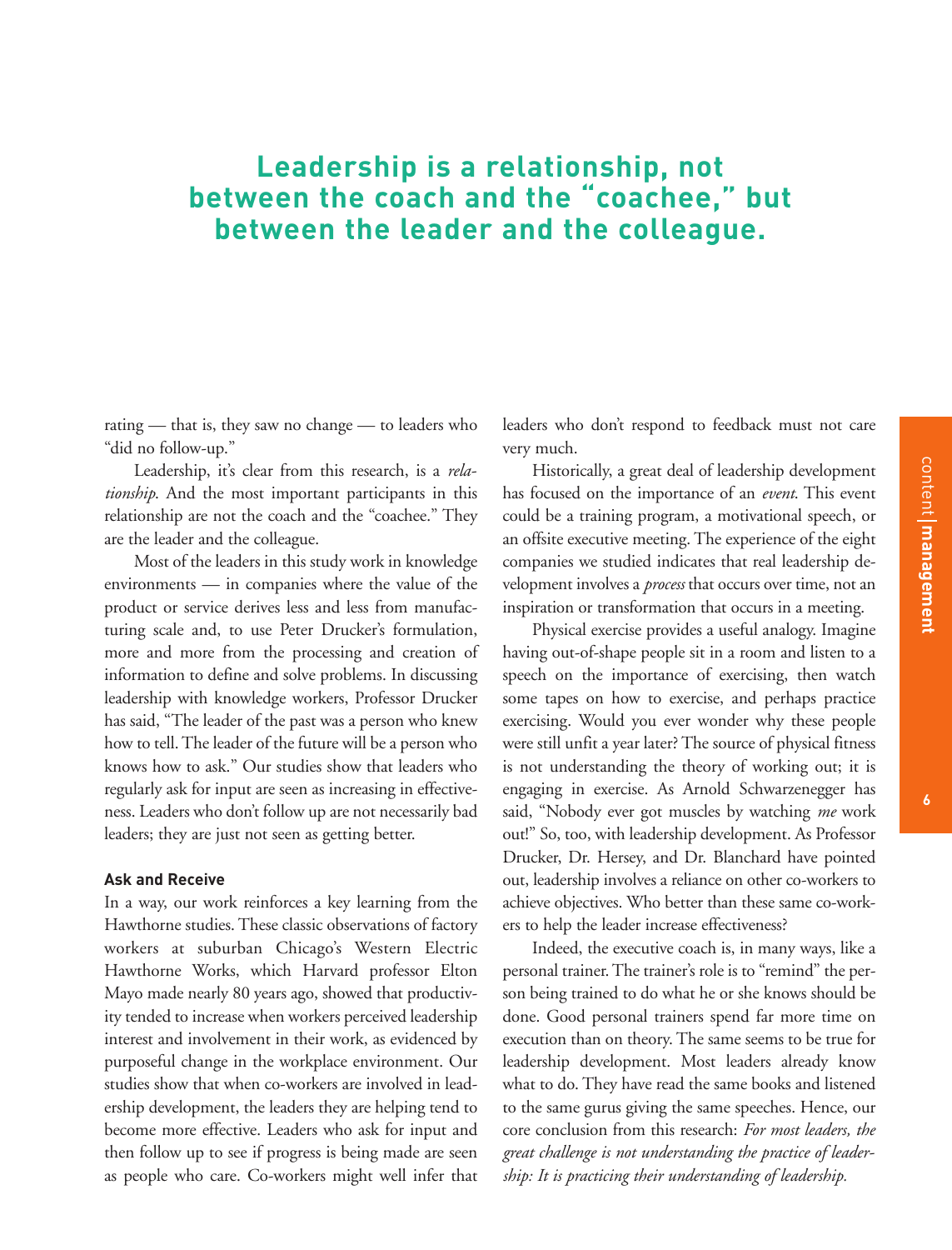# **Leadership is a relationship, not between the coach and the "coachee," but between the leader and the colleague.**

rating — that is, they saw no change — to leaders who "did no follow-up."

Leadership, it's clear from this research, is a *relationship*. And the most important participants in this relationship are not the coach and the "coachee." They are the leader and the colleague.

Most of the leaders in this study work in knowledge environments — in companies where the value of the product or service derives less and less from manufacturing scale and, to use Peter Drucker's formulation, more and more from the processing and creation of information to define and solve problems. In discussing leadership with knowledge workers, Professor Drucker has said, "The leader of the past was a person who knew how to tell. The leader of the future will be a person who knows how to ask." Our studies show that leaders who regularly ask for input are seen as increasing in effectiveness. Leaders who don't follow up are not necessarily bad leaders; they are just not seen as getting better.

### **Ask and Receive**

In a way, our work reinforces a key learning from the Hawthorne studies. These classic observations of factory workers at suburban Chicago's Western Electric Hawthorne Works, which Harvard professor Elton Mayo made nearly 80 years ago, showed that productivity tended to increase when workers perceived leadership interest and involvement in their work, as evidenced by purposeful change in the workplace environment. Our studies show that when co-workers are involved in leadership development, the leaders they are helping tend to become more effective. Leaders who ask for input and then follow up to see if progress is being made are seen as people who care. Co-workers might well infer that leaders who don't respond to feedback must not care very much.

Historically, a great deal of leadership development has focused on the importance of an *event*. This event could be a training program, a motivational speech, or an offsite executive meeting. The experience of the eight companies we studied indicates that real leadership development involves a *process* that occurs over time, not an inspiration or transformation that occurs in a meeting.

Physical exercise provides a useful analogy. Imagine having out-of-shape people sit in a room and listen to a speech on the importance of exercising, then watch some tapes on how to exercise, and perhaps practice exercising. Would you ever wonder why these people were still unfit a year later? The source of physical fitness is not understanding the theory of working out; it is engaging in exercise. As Arnold Schwarzenegger has said, "Nobody ever got muscles by watching *me* work out!" So, too, with leadership development. As Professor Drucker, Dr. Hersey, and Dr. Blanchard have pointed out, leadership involves a reliance on other co-workers to achieve objectives. Who better than these same co-workers to help the leader increase effectiveness?

Indeed, the executive coach is, in many ways, like a personal trainer. The trainer's role is to "remind" the person being trained to do what he or she knows should be done. Good personal trainers spend far more time on execution than on theory. The same seems to be true for leadership development. Most leaders already know what to do. They have read the same books and listened to the same gurus giving the same speeches. Hence, our core conclusion from this research: *For most leaders, the great challenge is not understanding the practice of leadership: It is practicing their understanding of leadership.*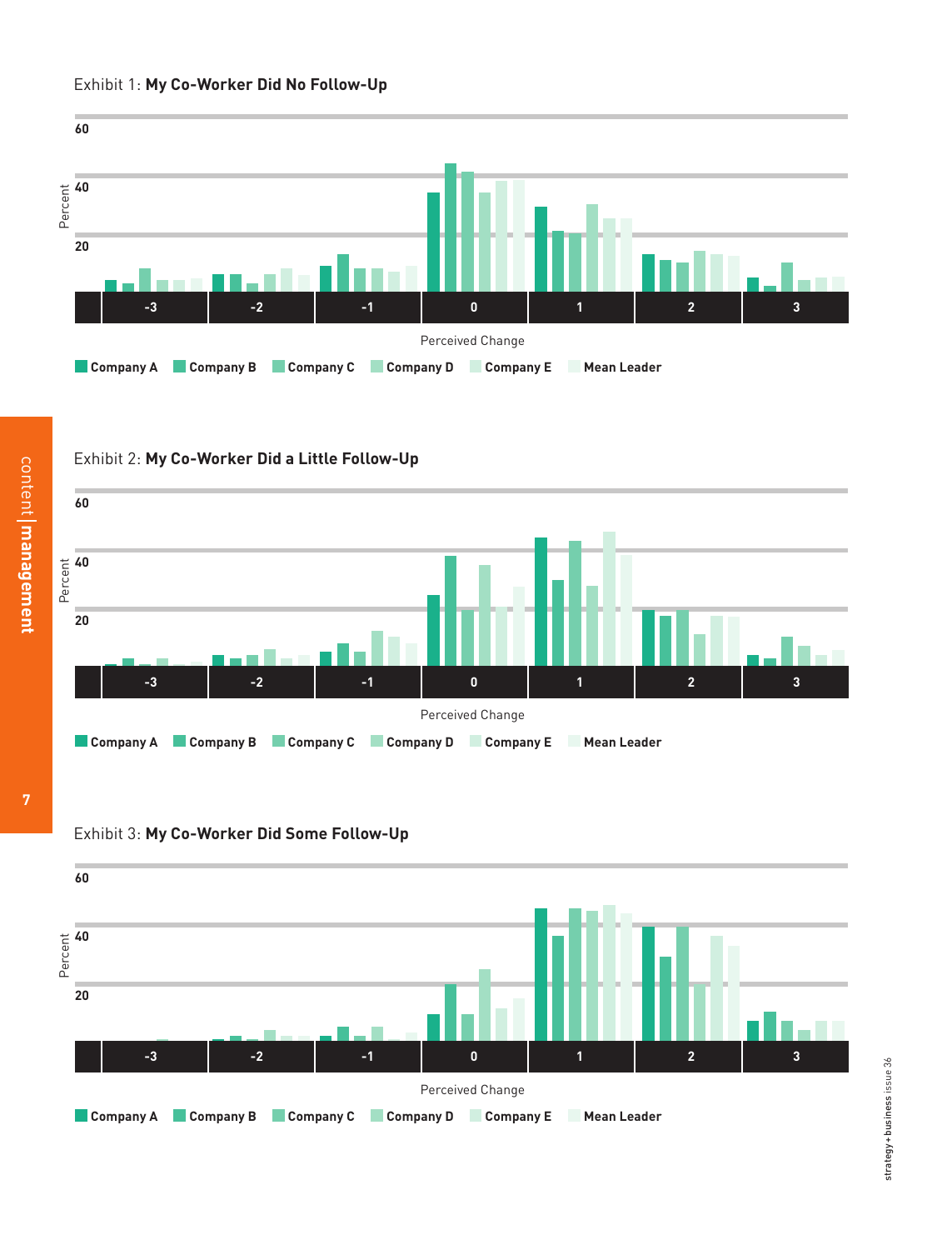## Exhibit 1: **My Co-Worker Did No Follow-Up**



content | management **60**



Perceived Change



**management**

## Exhibit 3: **My Co-Worker Did Some Follow-Up**

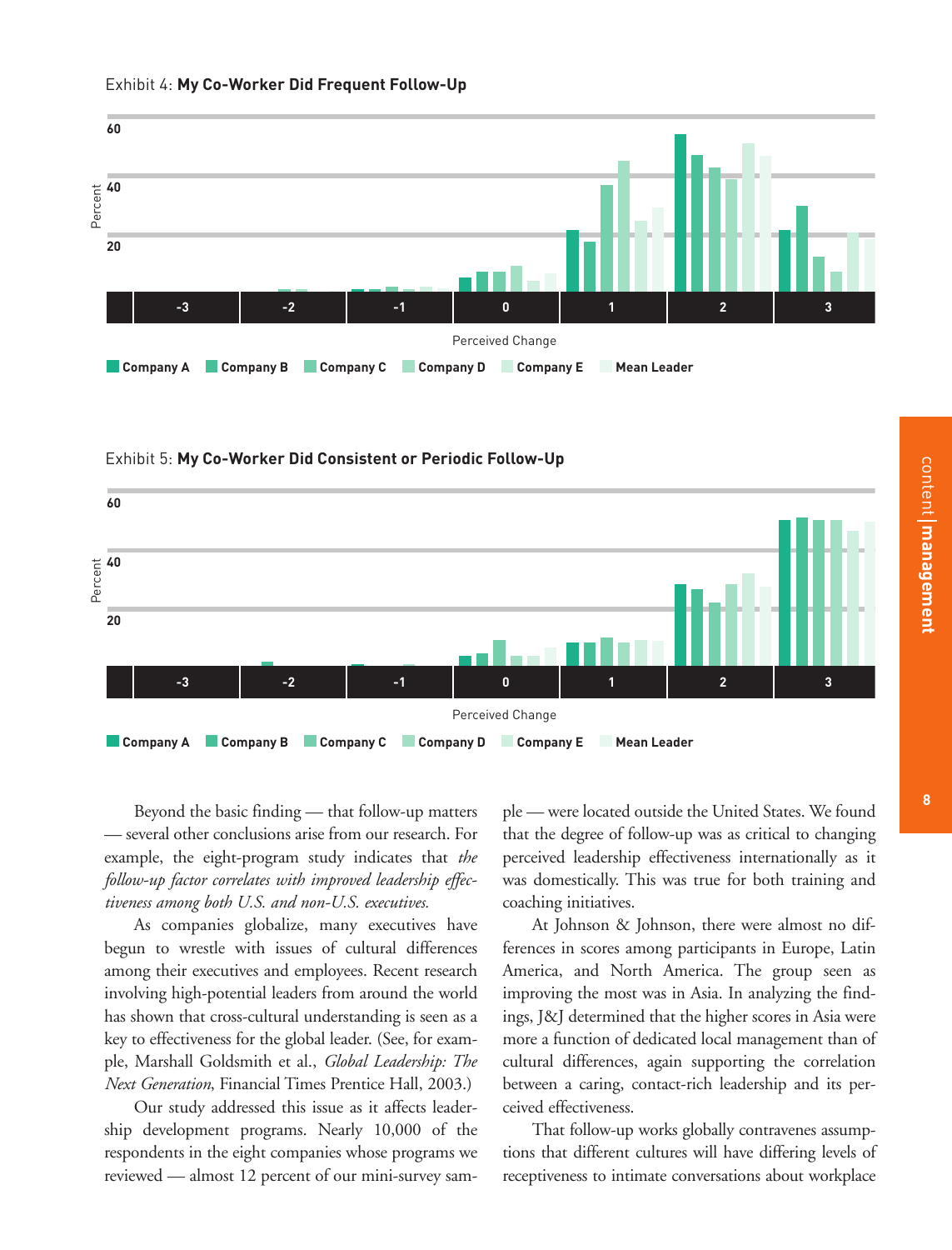

#### Exhibit 4: **My Co-Worker Did Frequent Follow-Up**





— several other conclusions arise from our research. For example, the eight-program study indicates that *the follow-up factor correlates with improved leadership effectiveness among both U.S. and non-U.S. executives.*

As companies globalize, many executives have begun to wrestle with issues of cultural differences among their executives and employees. Recent research involving high-potential leaders from around the world has shown that cross-cultural understanding is seen as a key to effectiveness for the global leader. (See, for example, Marshall Goldsmith et al., *Global Leadership: The Next Generation*, Financial Times Prentice Hall, 2003.)

Our study addressed this issue as it affects leadership development programs. Nearly 10,000 of the respondents in the eight companies whose programs we reviewed — almost 12 percent of our mini-survey sam-

Beyond the basic finding — that follow-up matters ple — were located outside the United States. We found **8** that the degree of follow-up was as critical to changing perceived leadership effectiveness internationally as it was domestically. This was true for both training and coaching initiatives.

> At Johnson & Johnson, there were almost no differences in scores among participants in Europe, Latin America, and North America. The group seen as improving the most was in Asia. In analyzing the findings, J&J determined that the higher scores in Asia were more a function of dedicated local management than of cultural differences, again supporting the correlation between a caring, contact-rich leadership and its perceived effectiveness.

> That follow-up works globally contravenes assumptions that different cultures will have differing levels of receptiveness to intimate conversations about workplace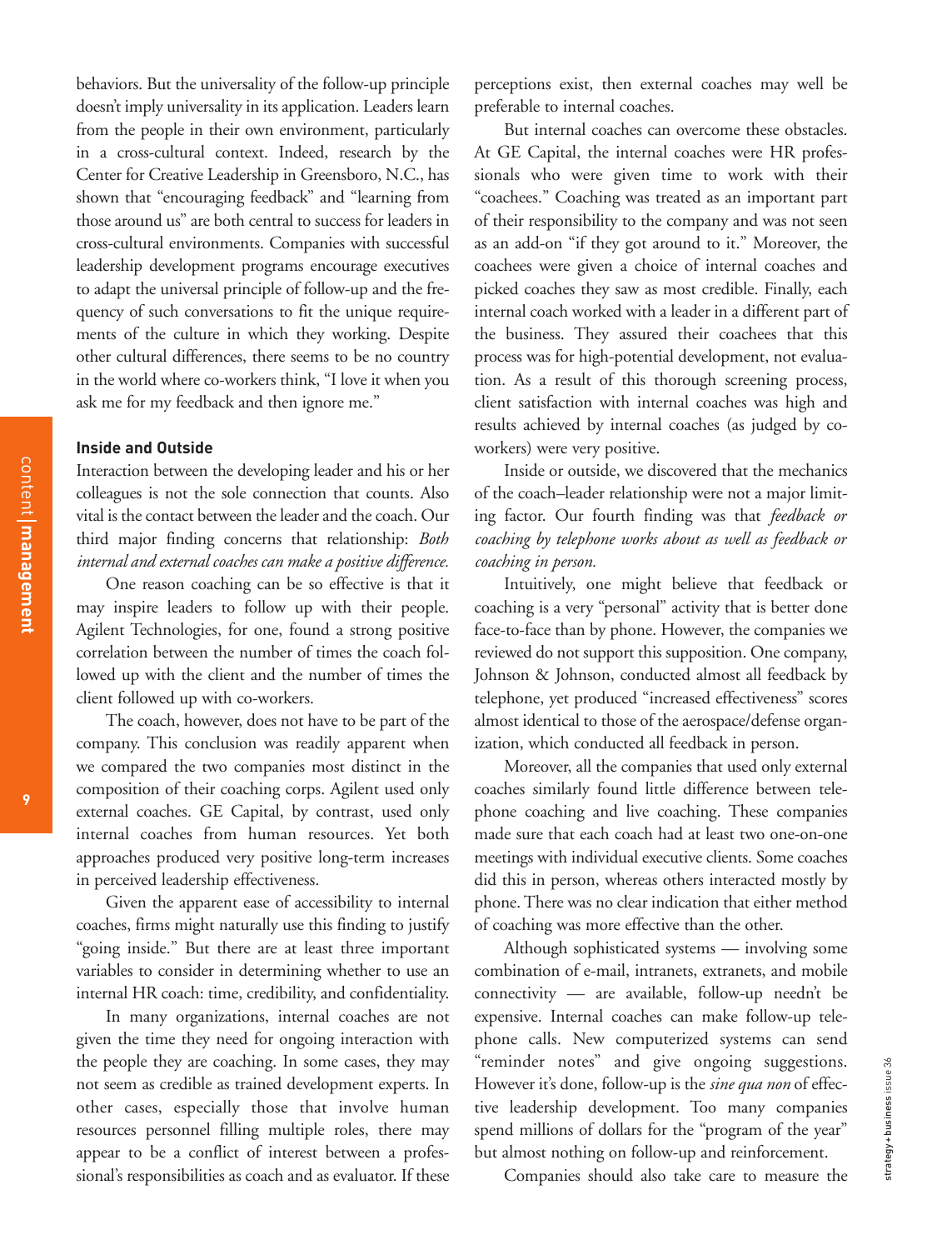behaviors. But the universality of the follow-up principle doesn't imply universality in its application. Leaders learn from the people in their own environment, particularly in a cross-cultural context. Indeed, research by the Center for Creative Leadership in Greensboro, N.C., has shown that "encouraging feedback" and "learning from those around us" are both central to success for leaders in cross-cultural environments. Companies with successful leadership development programs encourage executives to adapt the universal principle of follow-up and the frequency of such conversations to fit the unique requirements of the culture in which they working. Despite other cultural differences, there seems to be no country in the world where co-workers think, "I love it when you ask me for my feedback and then ignore me."

## **Inside and Outside**

Interaction between the developing leader and his or her colleagues is not the sole connection that counts. Also vital is the contact between the leader and the coach. Our third major finding concerns that relationship: *Both internal and external coaches can make a positive difference.*

One reason coaching can be so effective is that it may inspire leaders to follow up with their people. Agilent Technologies, for one, found a strong positive correlation between the number of times the coach followed up with the client and the number of times the client followed up with co-workers.

The coach, however, does not have to be part of the company. This conclusion was readily apparent when we compared the two companies most distinct in the composition of their coaching corps. Agilent used only external coaches. GE Capital, by contrast, used only internal coaches from human resources. Yet both approaches produced very positive long-term increases in perceived leadership effectiveness.

Given the apparent ease of accessibility to internal coaches, firms might naturally use this finding to justify "going inside." But there are at least three important variables to consider in determining whether to use an internal HR coach: time, credibility, and confidentiality.

In many organizations, internal coaches are not given the time they need for ongoing interaction with the people they are coaching. In some cases, they may not seem as credible as trained development experts. In other cases, especially those that involve human resources personnel filling multiple roles, there may appear to be a conflict of interest between a professional's responsibilities as coach and as evaluator. If these

perceptions exist, then external coaches may well be preferable to internal coaches.

But internal coaches can overcome these obstacles. At GE Capital, the internal coaches were HR professionals who were given time to work with their "coachees." Coaching was treated as an important part of their responsibility to the company and was not seen as an add-on "if they got around to it." Moreover, the coachees were given a choice of internal coaches and picked coaches they saw as most credible. Finally, each internal coach worked with a leader in a different part of the business. They assured their coachees that this process was for high-potential development, not evaluation. As a result of this thorough screening process, client satisfaction with internal coaches was high and results achieved by internal coaches (as judged by coworkers) were very positive.

Inside or outside, we discovered that the mechanics of the coach–leader relationship were not a major limiting factor. Our fourth finding was that *feedback or coaching by telephone works about as well as feedback or coaching in person.*

Intuitively, one might believe that feedback or coaching is a very "personal" activity that is better done face-to-face than by phone. However, the companies we reviewed do not support this supposition. One company, Johnson & Johnson, conducted almost all feedback by telephone, yet produced "increased effectiveness" scores almost identical to those of the aerospace/defense organization, which conducted all feedback in person.

Moreover, all the companies that used only external coaches similarly found little difference between telephone coaching and live coaching. These companies made sure that each coach had at least two one-on-one meetings with individual executive clients. Some coaches did this in person, whereas others interacted mostly by phone. There was no clear indication that either method of coaching was more effective than the other.

Although sophisticated systems — involving some combination of e-mail, intranets, extranets, and mobile connectivity — are available, follow-up needn't be expensive. Internal coaches can make follow-up telephone calls. New computerized systems can send "reminder notes" and give ongoing suggestions. However it's done, follow-up is the *sine qua non* of effective leadership development. Too many companies spend millions of dollars for the "program of the year" but almost nothing on follow-up and reinforcement.

Companies should also take care to measure the